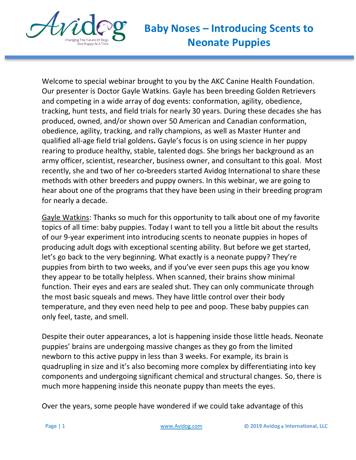

Welcome to special webinar brought to you by the AKC Canine Health Foundation. Our presenter is Doctor Gayle Watkins. Gayle has been breeding Golden Retrievers and competing in a wide array of dog events: conformation, agility, obedience, tracking, hunt tests, and field trials for nearly 30 years. During these decades she has produced, owned, and/or shown over 50 American and Canadian conformation, obedience, agility, tracking, and rally champions, as well as Master Hunter and qualified all-age field trial goldens**.** Gayle's focus is on using science in her puppy rearing to produce healthy, stable, talented dogs. She brings her background as an army officer, scientist, researcher, business owner, and consultant to this goal. Most recently, she and two of her co**-**breeders started Avidog International to share these methods with other breeders and puppy owners. In this webinar, we are going to hear about one of the programs that they have been using in their breeding program for nearly a decade.

Gayle Watkins: Thanks so much for this opportunity to talk about one of my favorite topics of all time: baby puppies. Today I want to tell you a little bit about the results of our 9-year experiment into introducing scents to neonate puppies in hopes of producing adult dogs with exceptional scenting ability. But before we get started, let's go back to the very beginning. What exactly is a neonate puppy? They're puppies from birth to two weeks, and if you've ever seen pups this age you know they appear to be totally helpless. When scanned, their brains show minimal function. Their eyes and ears are sealed shut. They can only communicate through the most basic squeals and mews. They have little control over their body temperature, and they even need help to pee and poop. These baby puppies can only feel, taste, and smell.

Despite their outer appearances, a lot is happening inside those little heads. Neonate puppies' brains are undergoing massive changes as they go from the limited newborn to this active puppy in less than 3 weeks. For example, its brain is quadrupling in size and it's also becoming more complex by differentiating into key components and undergoing significant chemical and structural changes. So, there is much more happening inside this neonate puppy than meets the eyes.

Over the years, some people have wondered if we could take advantage of this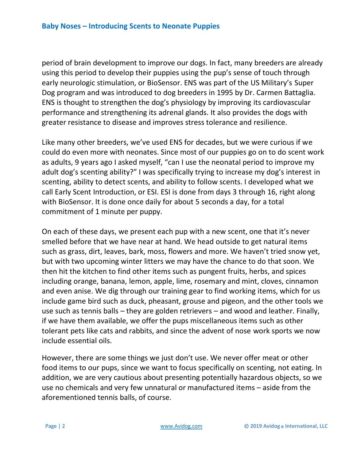period of brain development to improve our dogs. In fact, many breeders are already using this period to develop their puppies using the pup's sense of touch through early neurologic stimulation, or BioSensor. ENS was part of the US Military's Super Dog program and was introduced to dog breeders in 1995 by Dr. Carmen Battaglia. ENS is thought to strengthen the dog's physiology by improving its cardiovascular performance and strengthening its adrenal glands. It also provides the dogs with greater resistance to disease and improves stress tolerance and resilience.

Like many other breeders, we've used ENS for decades, but we were curious if we could do even more with neonates. Since most of our puppies go on to do scent work as adults, 9 years ago I asked myself, "can I use the neonatal period to improve my adult dog's scenting ability?" I was specifically trying to increase my dog's interest in scenting, ability to detect scents, and ability to follow scents. I developed what we call Early Scent Introduction, or ESI. ESI is done from days 3 through 16, right along with BioSensor. It is done once daily for about 5 seconds a day, for a total commitment of 1 minute per puppy.

On each of these days, we present each pup with a new scent, one that it's never smelled before that we have near at hand. We head outside to get natural items such as grass, dirt, leaves, bark, moss, flowers and more. We haven't tried snow yet, but with two upcoming winter litters we may have the chance to do that soon. We then hit the kitchen to find other items such as pungent fruits, herbs, and spices including orange, banana, lemon, apple, lime, rosemary and mint, cloves, cinnamon and even anise. We dig through our training gear to find working items, which for us include game bird such as duck, pheasant, grouse and pigeon, and the other tools we use such as tennis balls – they are golden retrievers – and wood and leather. Finally, if we have them available, we offer the pups miscellaneous items such as other tolerant pets like cats and rabbits, and since the advent of nose work sports we now include essential oils.

However, there are some things we just don't use. We never offer meat or other food items to our pups, since we want to focus specifically on scenting, not eating. In addition, we are very cautious about presenting potentially hazardous objects, so we use no chemicals and very few unnatural or manufactured items – aside from the aforementioned tennis balls, of course.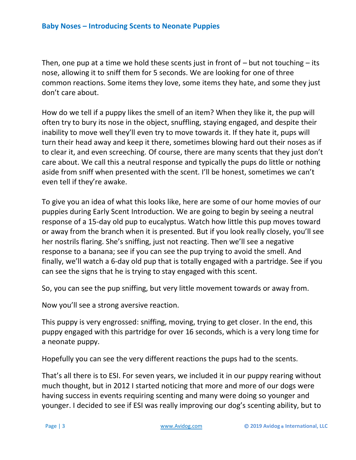Then, one pup at a time we hold these scents just in front of  $-$  but not touching  $-$  its nose, allowing it to sniff them for 5 seconds. We are looking for one of three common reactions. Some items they love, some items they hate, and some they just don't care about.

How do we tell if a puppy likes the smell of an item? When they like it, the pup will often try to bury its nose in the object, snuffling, staying engaged, and despite their inability to move well they'll even try to move towards it. If they hate it, pups will turn their head away and keep it there, sometimes blowing hard out their noses as if to clear it, and even screeching. Of course, there are many scents that they just don't care about. We call this a neutral response and typically the pups do little or nothing aside from sniff when presented with the scent. I'll be honest, sometimes we can't even tell if they're awake.

To give you an idea of what this looks like, here are some of our home movies of our puppies during Early Scent Introduction. We are going to begin by seeing a neutral response of a 15-day old pup to eucalyptus. Watch how little this pup moves toward or away from the branch when it is presented. But if you look really closely, you'll see her nostrils flaring. She's sniffing, just not reacting. Then we'll see a negative response to a banana; see if you can see the pup trying to avoid the smell. And finally, we'll watch a 6-day old pup that is totally engaged with a partridge. See if you can see the signs that he is trying to stay engaged with this scent.

So, you can see the pup sniffing, but very little movement towards or away from.

Now you'll see a strong aversive reaction.

This puppy is very engrossed: sniffing, moving, trying to get closer. In the end, this puppy engaged with this partridge for over 16 seconds, which is a very long time for a neonate puppy.

Hopefully you can see the very different reactions the pups had to the scents.

That's all there is to ESI. For seven years, we included it in our puppy rearing without much thought, but in 2012 I started noticing that more and more of our dogs were having success in events requiring scenting and many were doing so younger and younger. I decided to see if ESI was really improving our dog's scenting ability, but to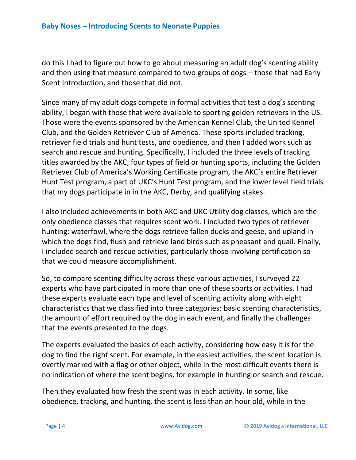do this I had to figure out how to go about measuring an adult dog's scenting ability and then using that measure compared to two groups of dogs – those that had Early Scent Introduction, and those that did not.

Since many of my adult dogs compete in formal activities that test a dog's scenting ability, I began with those that were available to sporting golden retrievers in the US. Those were the events sponsored by the American Kennel Club, the United Kennel Club, and the Golden Retriever Club of America. These sports included tracking, retriever field trials and hunt tests, and obedience, and then I added work such as search and rescue and hunting. Specifically, I included the three levels of tracking titles awarded by the AKC, four types of field or hunting sports, including the Golden Retriever Club of America's Working Certificate program, the AKC's entire Retriever Hunt Test program, a part of UKC's Hunt Test program, and the lower level field trials that my dogs participate in in the AKC, Derby, and qualifying stakes.

I also included achievements in both AKC and UKC Utility dog classes, which are the only obedience classes that requires scent work. I included two types of retriever hunting: waterfowl, where the dogs retrieve fallen ducks and geese, and upland in which the dogs find, flush and retrieve land birds such as pheasant and quail. Finally, I included search and rescue activities, particularly those involving certification so that we could measure accomplishment.

So, to compare scenting difficulty across these various activities, I surveyed 22 experts who have participated in more than one of these sports or activities. I had these experts evaluate each type and level of scenting activity along with eight characteristics that we classified into three categories: basic scenting characteristics, the amount of effort required by the dog in each event, and finally the challenges that the events presented to the dogs.

The experts evaluated the basics of each activity, considering how easy it is for the dog to find the right scent. For example, in the easiest activities, the scent location is overtly marked with a flag or other object, while in the most difficult events there is no indication of where the scent begins, for example in hunting or search and rescue.

Then they evaluated how fresh the scent was in each activity. In some, like obedience, tracking, and hunting, the scent is less than an hour old, while in the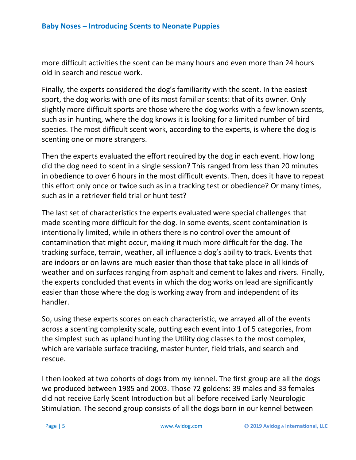more difficult activities the scent can be many hours and even more than 24 hours old in search and rescue work.

Finally, the experts considered the dog's familiarity with the scent. In the easiest sport, the dog works with one of its most familiar scents: that of its owner. Only slightly more difficult sports are those where the dog works with a few known scents, such as in hunting, where the dog knows it is looking for a limited number of bird species. The most difficult scent work, according to the experts, is where the dog is scenting one or more strangers.

Then the experts evaluated the effort required by the dog in each event. How long did the dog need to scent in a single session? This ranged from less than 20 minutes in obedience to over 6 hours in the most difficult events. Then, does it have to repeat this effort only once or twice such as in a tracking test or obedience? Or many times, such as in a retriever field trial or hunt test?

The last set of characteristics the experts evaluated were special challenges that made scenting more difficult for the dog. In some events, scent contamination is intentionally limited, while in others there is no control over the amount of contamination that might occur, making it much more difficult for the dog. The tracking surface, terrain, weather, all influence a dog's ability to track. Events that are indoors or on lawns are much easier than those that take place in all kinds of weather and on surfaces ranging from asphalt and cement to lakes and rivers. Finally, the experts concluded that events in which the dog works on lead are significantly easier than those where the dog is working away from and independent of its handler.

So, using these experts scores on each characteristic, we arrayed all of the events across a scenting complexity scale, putting each event into 1 of 5 categories, from the simplest such as upland hunting the Utility dog classes to the most complex, which are variable surface tracking, master hunter, field trials, and search and rescue.

I then looked at two cohorts of dogs from my kennel. The first group are all the dogs we produced between 1985 and 2003. Those 72 goldens: 39 males and 33 females did not receive Early Scent Introduction but all before received Early Neurologic Stimulation. The second group consists of all the dogs born in our kennel between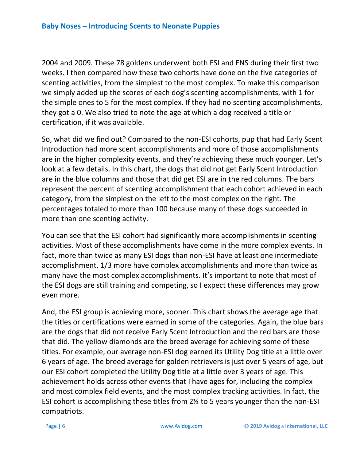2004 and 2009. These 78 goldens underwent both ESI and ENS during their first two weeks. I then compared how these two cohorts have done on the five categories of scenting activities, from the simplest to the most complex. To make this comparison we simply added up the scores of each dog's scenting accomplishments, with 1 for the simple ones to 5 for the most complex. If they had no scenting accomplishments, they got a 0. We also tried to note the age at which a dog received a title or certification, if it was available.

So, what did we find out? Compared to the non-ESI cohorts, pup that had Early Scent Introduction had more scent accomplishments and more of those accomplishments are in the higher complexity events, and they're achieving these much younger. Let's look at a few details. In this chart, the dogs that did not get Early Scent Introduction are in the blue columns and those that did get ESI are in the red columns. The bars represent the percent of scenting accomplishment that each cohort achieved in each category, from the simplest on the left to the most complex on the right. The percentages totaled to more than 100 because many of these dogs succeeded in more than one scenting activity.

You can see that the ESI cohort had significantly more accomplishments in scenting activities. Most of these accomplishments have come in the more complex events. In fact, more than twice as many ESI dogs than non-ESI have at least one intermediate accomplishment, 1/3 more have complex accomplishments and more than twice as many have the most complex accomplishments. It's important to note that most of the ESI dogs are still training and competing, so I expect these differences may grow even more.

And, the ESI group is achieving more, sooner. This chart shows the average age that the titles or certifications were earned in some of the categories. Again, the blue bars are the dogs that did not receive Early Scent Introduction and the red bars are those that did. The yellow diamonds are the breed average for achieving some of these titles. For example, our average non-ESI dog earned its Utility Dog title at a little over 6 years of age. The breed average for golden retrievers is just over 5 years of age, but our ESI cohort completed the Utility Dog title at a little over 3 years of age. This achievement holds across other events that I have ages for, including the complex and most complex field events, and the most complex tracking activities. In fact, the ESI cohort is accomplishing these titles from 2½ to 5 years younger than the non-ESI compatriots.